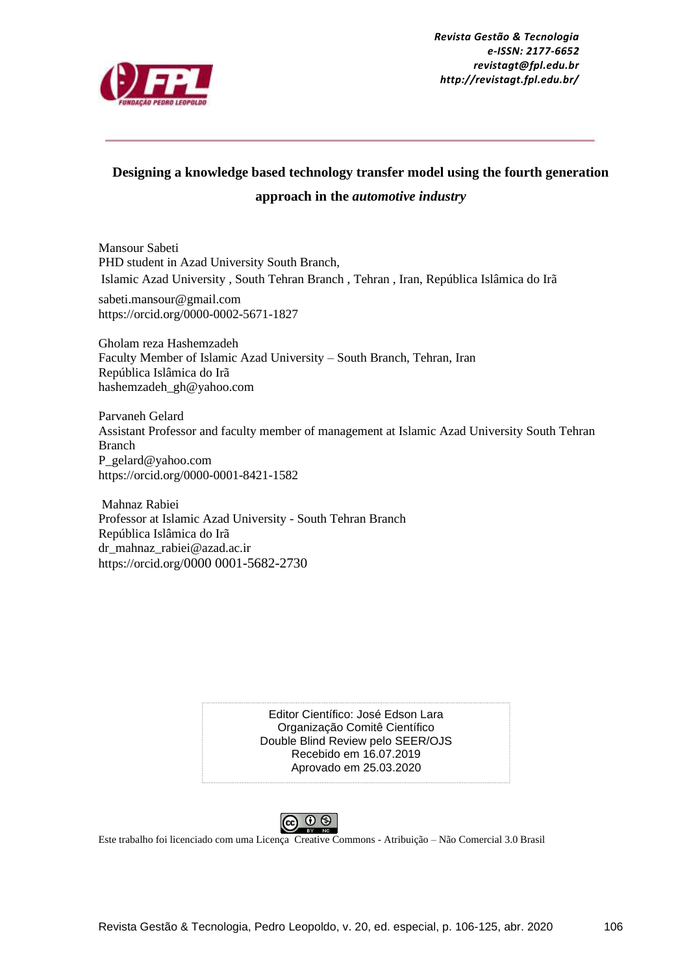

*Revista Gestão & Tecnologia e-ISSN: 2177-6652 revistagt@fpl.edu.br http://revistagt.fpl.edu.br/*

# **Designing a knowledge based technology transfer model using the fourth generation approach in the** *automotive industry*

Mansour Sabeti PHD student in Azad University South Branch, Islamic Azad University , South Tehran Branch , Tehran , Iran, República Islâmica do Irã sabeti.mansour@gmail.com

https://orcid.org/0000-0002-5671-1827

Gholam reza Hashemzadeh Faculty Member of Islamic Azad University – South Branch, Tehran, Iran República Islâmica do Irã hashemzadeh\_gh@yahoo.com

Parvaneh Gelard Assistant Professor and faculty member of management at Islamic Azad University South Tehran Branch P\_gelard@yahoo.com https://orcid.org/0000-0001-8421-1582

Mahnaz Rabiei Professor at Islamic Azad University - South Tehran Branch República Islâmica do Irã dr\_mahnaz\_rabiei@azad.ac.ir https://orcid.org/0000 0001-5682-2730

> Editor Científico: José Edson Lara Organização Comitê Científico Double Blind Review pelo SEER/OJS Recebido em 16.07.2019 Aprovado em 25.03.2020



Este trabalho foi licenciado com uma Licença Creative Commons - Atribuição – [Não Comercial 3.0 Brasil](http://creativecommons.org/licenses/by-nc/3.0/br/)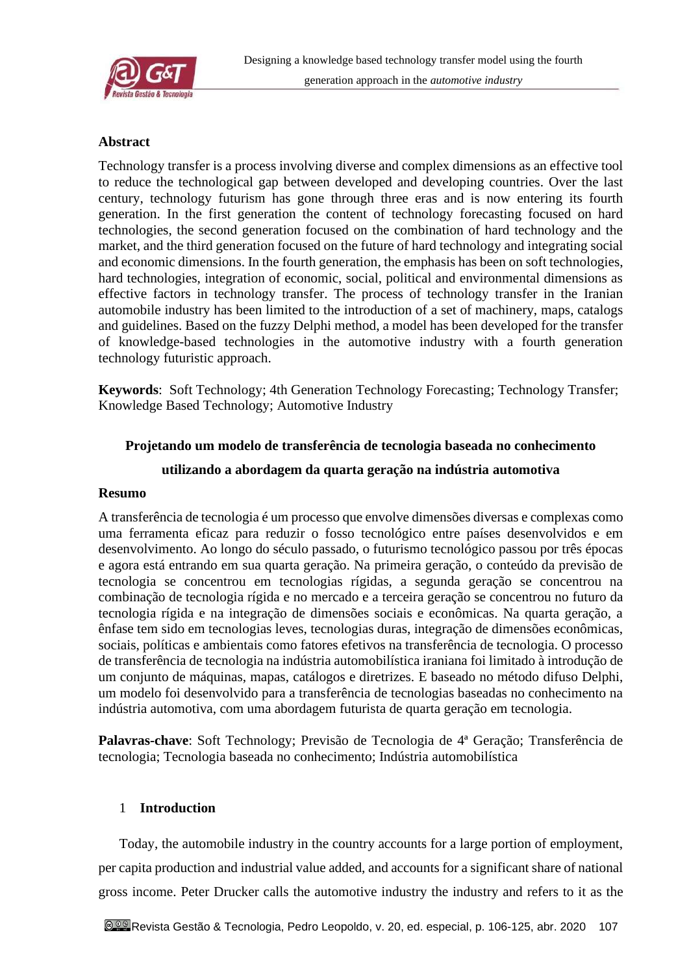

## **Abstract**

Technology transfer is a process involving diverse and complex dimensions as an effective tool to reduce the technological gap between developed and developing countries. Over the last century, technology futurism has gone through three eras and is now entering its fourth generation. In the first generation the content of technology forecasting focused on hard technologies, the second generation focused on the combination of hard technology and the market, and the third generation focused on the future of hard technology and integrating social and economic dimensions. In the fourth generation, the emphasis has been on soft technologies, hard technologies, integration of economic, social, political and environmental dimensions as effective factors in technology transfer. The process of technology transfer in the Iranian automobile industry has been limited to the introduction of a set of machinery, maps, catalogs and guidelines. Based on the fuzzy Delphi method, a model has been developed for the transfer of knowledge-based technologies in the automotive industry with a fourth generation technology futuristic approach.

**Keywords**: Soft Technology; 4th Generation Technology Forecasting; Technology Transfer; Knowledge Based Technology; Automotive Industry

#### **Projetando um modelo de transferência de tecnologia baseada no conhecimento**

#### **utilizando a abordagem da quarta geração na indústria automotiva**

#### **Resumo**

A transferência de tecnologia é um processo que envolve dimensões diversas e complexas como uma ferramenta eficaz para reduzir o fosso tecnológico entre países desenvolvidos e em desenvolvimento. Ao longo do século passado, o futurismo tecnológico passou por três épocas e agora está entrando em sua quarta geração. Na primeira geração, o conteúdo da previsão de tecnologia se concentrou em tecnologias rígidas, a segunda geração se concentrou na combinação de tecnologia rígida e no mercado e a terceira geração se concentrou no futuro da tecnologia rígida e na integração de dimensões sociais e econômicas. Na quarta geração, a ênfase tem sido em tecnologias leves, tecnologias duras, integração de dimensões econômicas, sociais, políticas e ambientais como fatores efetivos na transferência de tecnologia. O processo de transferência de tecnologia na indústria automobilística iraniana foi limitado à introdução de um conjunto de máquinas, mapas, catálogos e diretrizes. E baseado no método difuso Delphi, um modelo foi desenvolvido para a transferência de tecnologias baseadas no conhecimento na indústria automotiva, com uma abordagem futurista de quarta geração em tecnologia.

**Palavras-chave**: Soft Technology; Previsão de Tecnologia de 4ª Geração; Transferência de tecnologia; Tecnologia baseada no conhecimento; Indústria automobilística

#### 1 **Introduction**

Today, the automobile industry in the country accounts for a large portion of employment, per capita production and industrial value added, and accounts for a significant share of national gross income. Peter Drucker calls the automotive industry the industry and refers to it as the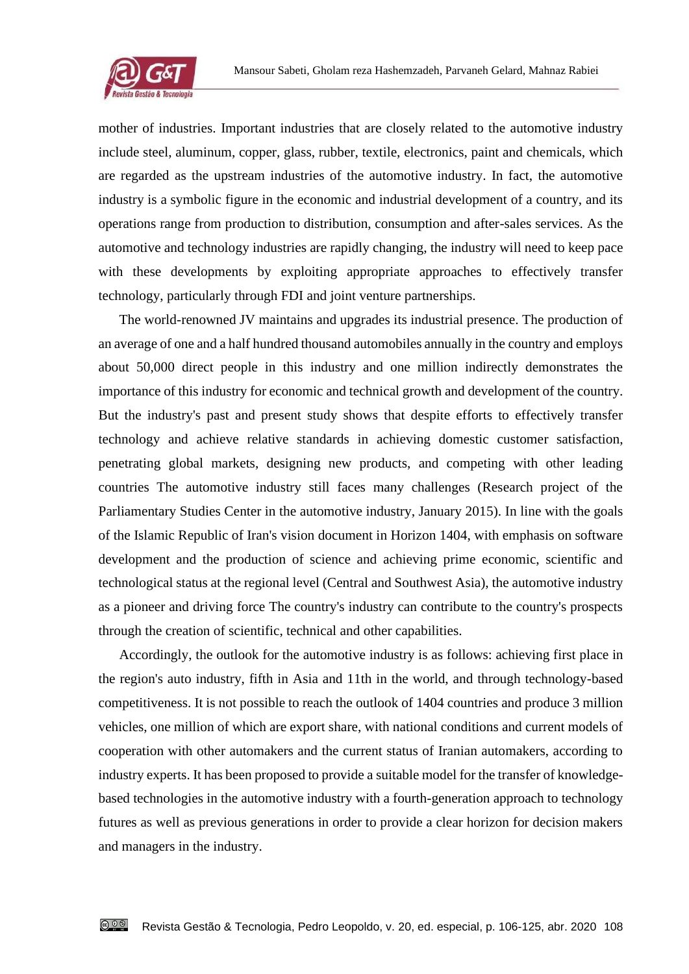

mother of industries. Important industries that are closely related to the automotive industry include steel, aluminum, copper, glass, rubber, textile, electronics, paint and chemicals, which are regarded as the upstream industries of the automotive industry. In fact, the automotive industry is a symbolic figure in the economic and industrial development of a country, and its operations range from production to distribution, consumption and after-sales services. As the automotive and technology industries are rapidly changing, the industry will need to keep pace with these developments by exploiting appropriate approaches to effectively transfer technology, particularly through FDI and joint venture partnerships.

The world-renowned JV maintains and upgrades its industrial presence. The production of an average of one and a half hundred thousand automobiles annually in the country and employs about 50,000 direct people in this industry and one million indirectly demonstrates the importance of this industry for economic and technical growth and development of the country. But the industry's past and present study shows that despite efforts to effectively transfer technology and achieve relative standards in achieving domestic customer satisfaction, penetrating global markets, designing new products, and competing with other leading countries The automotive industry still faces many challenges (Research project of the Parliamentary Studies Center in the automotive industry, January 2015). In line with the goals of the Islamic Republic of Iran's vision document in Horizon 1404, with emphasis on software development and the production of science and achieving prime economic, scientific and technological status at the regional level (Central and Southwest Asia), the automotive industry as a pioneer and driving force The country's industry can contribute to the country's prospects through the creation of scientific, technical and other capabilities.

Accordingly, the outlook for the automotive industry is as follows: achieving first place in the region's auto industry, fifth in Asia and 11th in the world, and through technology-based competitiveness. It is not possible to reach the outlook of 1404 countries and produce 3 million vehicles, one million of which are export share, with national conditions and current models of cooperation with other automakers and the current status of Iranian automakers, according to industry experts. It has been proposed to provide a suitable model for the transfer of knowledgebased technologies in the automotive industry with a fourth-generation approach to technology futures as well as previous generations in order to provide a clear horizon for decision makers and managers in the industry.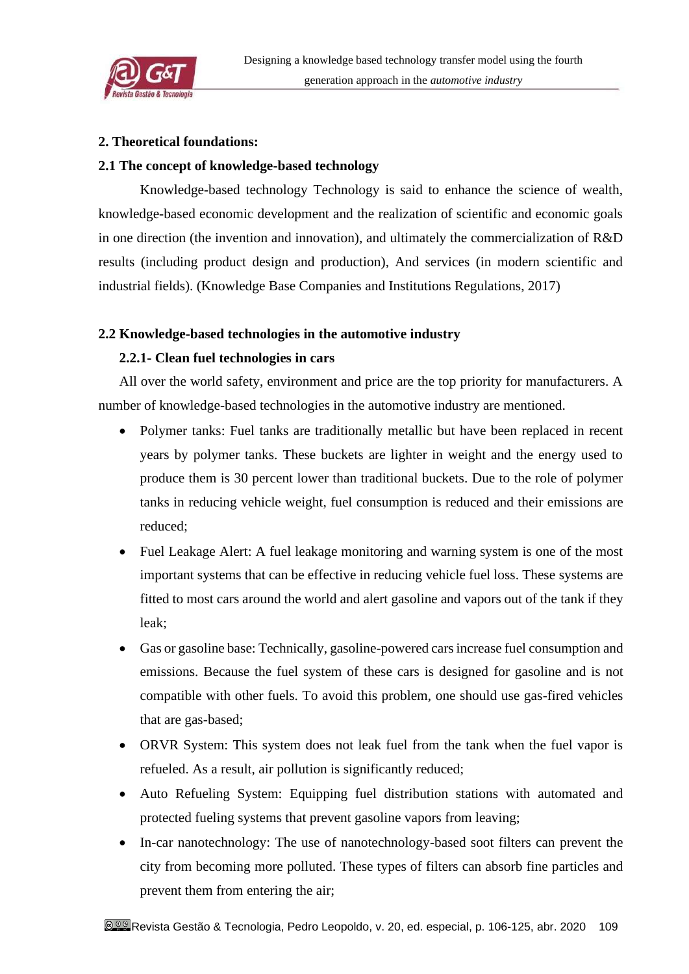

# **2. Theoretical foundations:**

# **2.1 The concept of knowledge-based technology**

Knowledge-based technology Technology is said to enhance the science of wealth, knowledge-based economic development and the realization of scientific and economic goals in one direction (the invention and innovation), and ultimately the commercialization of R&D results (including product design and production), And services (in modern scientific and industrial fields). (Knowledge Base Companies and Institutions Regulations, 2017)

# **2.2 Knowledge-based technologies in the automotive industry**

# **2.2.1- Clean fuel technologies in cars**

All over the world safety, environment and price are the top priority for manufacturers. A number of knowledge-based technologies in the automotive industry are mentioned.

- Polymer tanks: Fuel tanks are traditionally metallic but have been replaced in recent years by polymer tanks. These buckets are lighter in weight and the energy used to produce them is 30 percent lower than traditional buckets. Due to the role of polymer tanks in reducing vehicle weight, fuel consumption is reduced and their emissions are reduced;
- Fuel Leakage Alert: A fuel leakage monitoring and warning system is one of the most important systems that can be effective in reducing vehicle fuel loss. These systems are fitted to most cars around the world and alert gasoline and vapors out of the tank if they leak;
- Gas or gasoline base: Technically, gasoline-powered cars increase fuel consumption and emissions. Because the fuel system of these cars is designed for gasoline and is not compatible with other fuels. To avoid this problem, one should use gas-fired vehicles that are gas-based;
- ORVR System: This system does not leak fuel from the tank when the fuel vapor is refueled. As a result, air pollution is significantly reduced;
- Auto Refueling System: Equipping fuel distribution stations with automated and protected fueling systems that prevent gasoline vapors from leaving;
- In-car nanotechnology: The use of nanotechnology-based soot filters can prevent the city from becoming more polluted. These types of filters can absorb fine particles and prevent them from entering the air;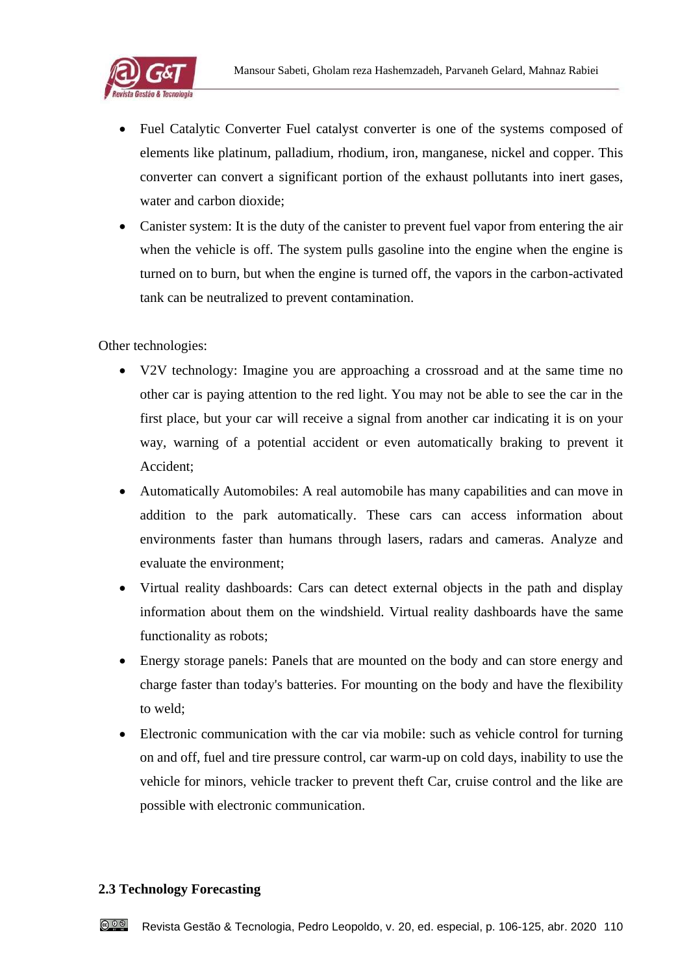

- Fuel Catalytic Converter Fuel catalyst converter is one of the systems composed of elements like platinum, palladium, rhodium, iron, manganese, nickel and copper. This converter can convert a significant portion of the exhaust pollutants into inert gases, water and carbon dioxide;
- Canister system: It is the duty of the canister to prevent fuel vapor from entering the air when the vehicle is off. The system pulls gasoline into the engine when the engine is turned on to burn, but when the engine is turned off, the vapors in the carbon-activated tank can be neutralized to prevent contamination.

Other technologies:

- V2V technology: Imagine you are approaching a crossroad and at the same time no other car is paying attention to the red light. You may not be able to see the car in the first place, but your car will receive a signal from another car indicating it is on your way, warning of a potential accident or even automatically braking to prevent it Accident;
- Automatically Automobiles: A real automobile has many capabilities and can move in addition to the park automatically. These cars can access information about environments faster than humans through lasers, radars and cameras. Analyze and evaluate the environment;
- Virtual reality dashboards: Cars can detect external objects in the path and display information about them on the windshield. Virtual reality dashboards have the same functionality as robots;
- Energy storage panels: Panels that are mounted on the body and can store energy and charge faster than today's batteries. For mounting on the body and have the flexibility to weld;
- Electronic communication with the car via mobile: such as vehicle control for turning on and off, fuel and tire pressure control, car warm-up on cold days, inability to use the vehicle for minors, vehicle tracker to prevent theft Car, cruise control and the like are possible with electronic communication.

# **2.3 Technology Forecasting**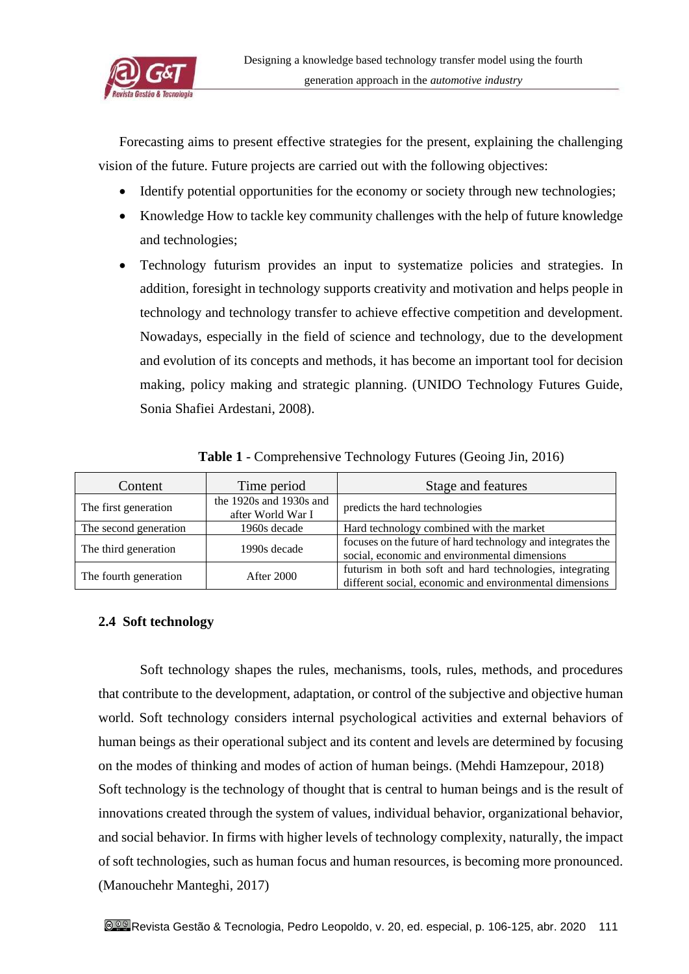

Forecasting aims to present effective strategies for the present, explaining the challenging vision of the future. Future projects are carried out with the following objectives:

- Identify potential opportunities for the economy or society through new technologies;
- Knowledge How to tackle key community challenges with the help of future knowledge and technologies;
- Technology futurism provides an input to systematize policies and strategies. In addition, foresight in technology supports creativity and motivation and helps people in technology and technology transfer to achieve effective competition and development. Nowadays, especially in the field of science and technology, due to the development and evolution of its concepts and methods, it has become an important tool for decision making, policy making and strategic planning. (UNIDO Technology Futures Guide, Sonia Shafiei Ardestani, 2008).

| Content                                                              | Time period  | Stage and features                                                                                                  |  |
|----------------------------------------------------------------------|--------------|---------------------------------------------------------------------------------------------------------------------|--|
| the 1920s and 1930s and<br>The first generation<br>after World War I |              | predicts the hard technologies                                                                                      |  |
| The second generation                                                | 1960s decade | Hard technology combined with the market                                                                            |  |
| The third generation                                                 | 1990s decade | focuses on the future of hard technology and integrates the<br>social, economic and environmental dimensions        |  |
| The fourth generation<br>After 2000                                  |              | futurism in both soft and hard technologies, integrating<br>different social, economic and environmental dimensions |  |

**Table 1** - Comprehensive Technology Futures (Geoing Jin, 2016)

# **2.4 Soft technology**

Soft technology shapes the rules, mechanisms, tools, rules, methods, and procedures that contribute to the development, adaptation, or control of the subjective and objective human world. Soft technology considers internal psychological activities and external behaviors of human beings as their operational subject and its content and levels are determined by focusing on the modes of thinking and modes of action of human beings. (Mehdi Hamzepour, 2018) Soft technology is the technology of thought that is central to human beings and is the result of innovations created through the system of values, individual behavior, organizational behavior, and social behavior. In firms with higher levels of technology complexity, naturally, the impact of soft technologies, such as human focus and human resources, is becoming more pronounced. (Manouchehr Manteghi, 2017)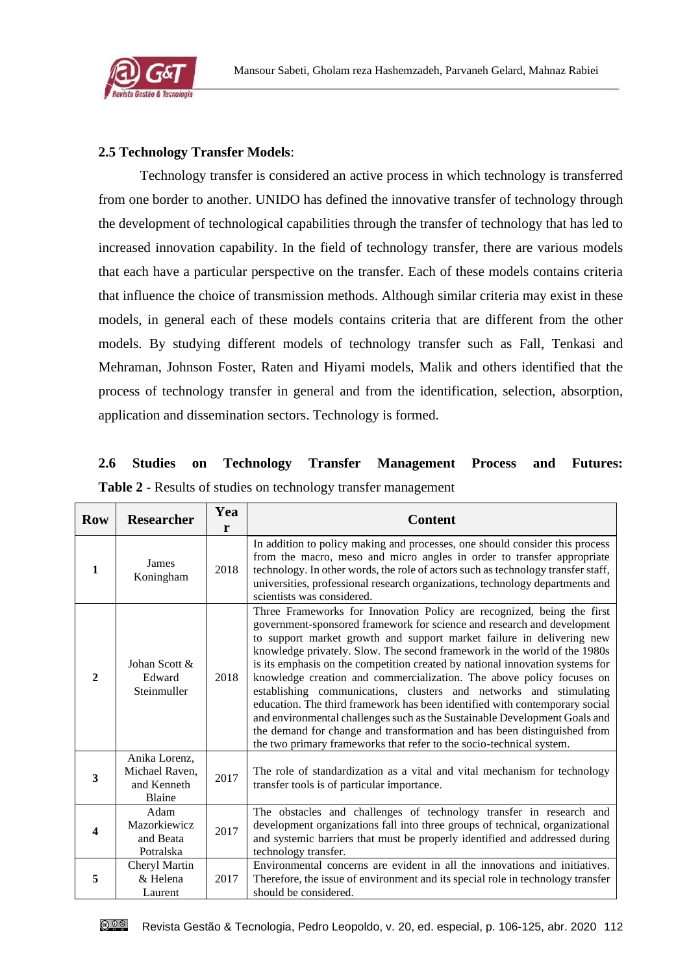

# **2.5 Technology Transfer Models**:

Technology transfer is considered an active process in which technology is transferred from one border to another. UNIDO has defined the innovative transfer of technology through the development of technological capabilities through the transfer of technology that has led to increased innovation capability. In the field of technology transfer, there are various models that each have a particular perspective on the transfer. Each of these models contains criteria that influence the choice of transmission methods. Although similar criteria may exist in these models, in general each of these models contains criteria that are different from the other models. By studying different models of technology transfer such as Fall, Tenkasi and Mehraman, Johnson Foster, Raten and Hiyami models, Malik and others identified that the process of technology transfer in general and from the identification, selection, absorption, application and dissemination sectors. Technology is formed.

# **2.6 Studies on Technology Transfer Management Process and Futures: Table 2** - Results of studies on technology transfer management

| <b>Row</b>   | <b>Researcher</b>                                        | Yea<br>r | <b>Content</b>                                                                                                                                                                                                                                                                                                                                                                                                                                                                                                                                                                                                                                                                                                                                                                                                                                           |
|--------------|----------------------------------------------------------|----------|----------------------------------------------------------------------------------------------------------------------------------------------------------------------------------------------------------------------------------------------------------------------------------------------------------------------------------------------------------------------------------------------------------------------------------------------------------------------------------------------------------------------------------------------------------------------------------------------------------------------------------------------------------------------------------------------------------------------------------------------------------------------------------------------------------------------------------------------------------|
| 1            | James<br>Koningham                                       | 2018     | In addition to policy making and processes, one should consider this process<br>from the macro, meso and micro angles in order to transfer appropriate<br>technology. In other words, the role of actors such as technology transfer staff,<br>universities, professional research organizations, technology departments and<br>scientists was considered.                                                                                                                                                                                                                                                                                                                                                                                                                                                                                               |
| $\mathbf{2}$ | Johan Scott &<br>Edward<br>Steinmuller                   | 2018     | Three Frameworks for Innovation Policy are recognized, being the first<br>government-sponsored framework for science and research and development<br>to support market growth and support market failure in delivering new<br>knowledge privately. Slow. The second framework in the world of the 1980s<br>is its emphasis on the competition created by national innovation systems for<br>knowledge creation and commercialization. The above policy focuses on<br>establishing communications, clusters and networks and stimulating<br>education. The third framework has been identified with contemporary social<br>and environmental challenges such as the Sustainable Development Goals and<br>the demand for change and transformation and has been distinguished from<br>the two primary frameworks that refer to the socio-technical system. |
| 3            | Anika Lorenz,<br>Michael Raven,<br>and Kenneth<br>Blaine | 2017     | The role of standardization as a vital and vital mechanism for technology<br>transfer tools is of particular importance.                                                                                                                                                                                                                                                                                                                                                                                                                                                                                                                                                                                                                                                                                                                                 |
| 4            | Adam<br><b>Mazorkiewicz</b><br>and Beata<br>Potralska    | 2017     | The obstacles and challenges of technology transfer in research and<br>development organizations fall into three groups of technical, organizational<br>and systemic barriers that must be properly identified and addressed during<br>technology transfer.                                                                                                                                                                                                                                                                                                                                                                                                                                                                                                                                                                                              |
| 5            | Cheryl Martin<br>& Helena<br>Laurent                     | 2017     | Environmental concerns are evident in all the innovations and initiatives.<br>Therefore, the issue of environment and its special role in technology transfer<br>should be considered.                                                                                                                                                                                                                                                                                                                                                                                                                                                                                                                                                                                                                                                                   |

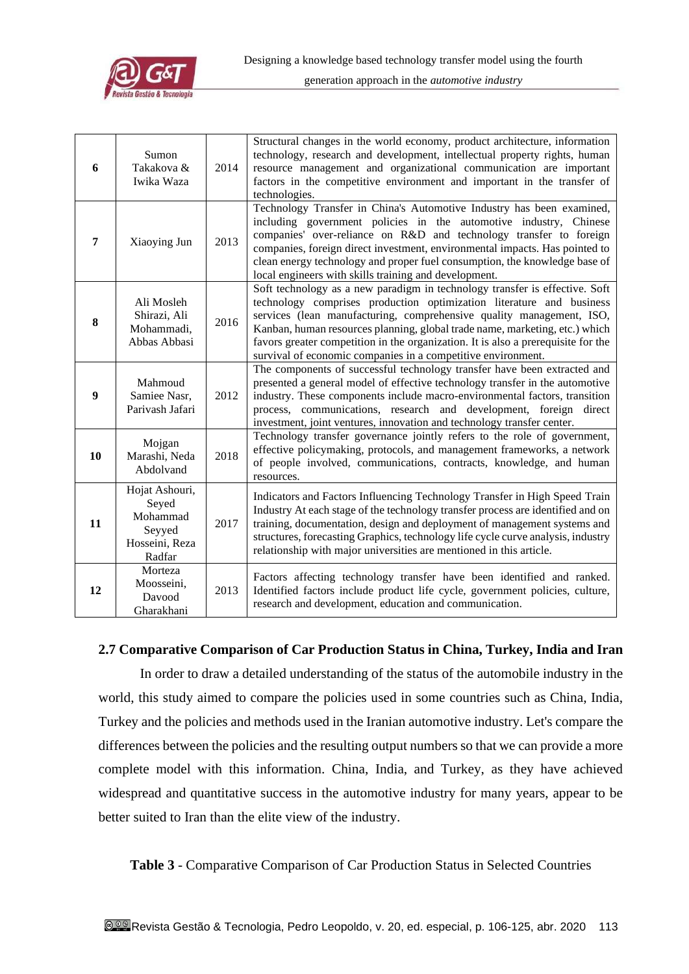

| 6  | Sumon<br>Takakova &<br>Iwika Waza                                         | 2014 | Structural changes in the world economy, product architecture, information<br>technology, research and development, intellectual property rights, human<br>resource management and organizational communication are important<br>factors in the competitive environment and important in the transfer of<br>technologies.                                                                                                                                       |
|----|---------------------------------------------------------------------------|------|-----------------------------------------------------------------------------------------------------------------------------------------------------------------------------------------------------------------------------------------------------------------------------------------------------------------------------------------------------------------------------------------------------------------------------------------------------------------|
| 7  | Xiaoying Jun                                                              | 2013 | Technology Transfer in China's Automotive Industry has been examined,<br>including government policies in the automotive industry, Chinese<br>companies' over-reliance on R&D and technology transfer to foreign<br>companies, foreign direct investment, environmental impacts. Has pointed to<br>clean energy technology and proper fuel consumption, the knowledge base of<br>local engineers with skills training and development.                          |
| 8  | Ali Mosleh<br>Shirazi, Ali<br>Mohammadi,<br>Abbas Abbasi                  | 2016 | Soft technology as a new paradigm in technology transfer is effective. Soft<br>technology comprises production optimization literature and business<br>services (lean manufacturing, comprehensive quality management, ISO,<br>Kanban, human resources planning, global trade name, marketing, etc.) which<br>favors greater competition in the organization. It is also a prerequisite for the<br>survival of economic companies in a competitive environment. |
| 9  | Mahmoud<br>Samiee Nasr,<br>Parivash Jafari                                | 2012 | The components of successful technology transfer have been extracted and<br>presented a general model of effective technology transfer in the automotive<br>industry. These components include macro-environmental factors, transition<br>process, communications, research and development, foreign direct<br>investment, joint ventures, innovation and technology transfer center.                                                                           |
| 10 | Mojgan<br>Marashi, Neda<br>Abdolvand                                      | 2018 | Technology transfer governance jointly refers to the role of government,<br>effective policymaking, protocols, and management frameworks, a network<br>of people involved, communications, contracts, knowledge, and human<br>resources.                                                                                                                                                                                                                        |
| 11 | Hojat Ashouri,<br>Seyed<br>Mohammad<br>Seyyed<br>Hosseini, Reza<br>Radfar | 2017 | Indicators and Factors Influencing Technology Transfer in High Speed Train<br>Industry At each stage of the technology transfer process are identified and on<br>training, documentation, design and deployment of management systems and<br>structures, forecasting Graphics, technology life cycle curve analysis, industry<br>relationship with major universities are mentioned in this article.                                                            |
| 12 | Morteza<br>Moosseini,<br>Davood<br>Gharakhani                             | 2013 | Factors affecting technology transfer have been identified and ranked.<br>Identified factors include product life cycle, government policies, culture,<br>research and development, education and communication.                                                                                                                                                                                                                                                |

#### **2.7 Comparative Comparison of Car Production Status in China, Turkey, India and Iran**

In order to draw a detailed understanding of the status of the automobile industry in the world, this study aimed to compare the policies used in some countries such as China, India, Turkey and the policies and methods used in the Iranian automotive industry. Let's compare the differences between the policies and the resulting output numbers so that we can provide a more complete model with this information. China, India, and Turkey, as they have achieved widespread and quantitative success in the automotive industry for many years, appear to be better suited to Iran than the elite view of the industry.

**Table 3** - Comparative Comparison of Car Production Status in Selected Countries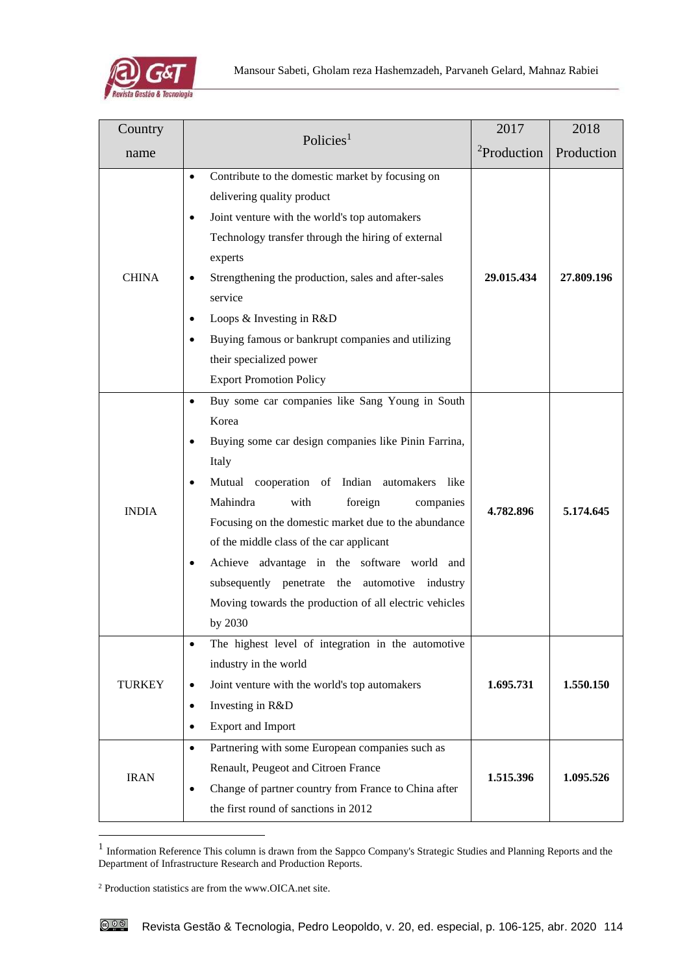

| Country       |                                                                                                                                                                                                                                                                                                                                                                                                                                                                                                                                   | 2017                    | 2018       |
|---------------|-----------------------------------------------------------------------------------------------------------------------------------------------------------------------------------------------------------------------------------------------------------------------------------------------------------------------------------------------------------------------------------------------------------------------------------------------------------------------------------------------------------------------------------|-------------------------|------------|
| name          | Policies <sup>1</sup>                                                                                                                                                                                                                                                                                                                                                                                                                                                                                                             | <sup>2</sup> Production | Production |
| <b>CHINA</b>  | Contribute to the domestic market by focusing on<br>$\bullet$<br>delivering quality product<br>Joint venture with the world's top automakers<br>$\bullet$<br>Technology transfer through the hiring of external<br>experts<br>Strengthening the production, sales and after-sales<br>service<br>Loops & Investing in R&D<br>Buying famous or bankrupt companies and utilizing<br>their specialized power<br><b>Export Promotion Policy</b>                                                                                        | 29.015.434              | 27.809.196 |
| <b>INDIA</b>  | Buy some car companies like Sang Young in South<br>$\bullet$<br>Korea<br>Buying some car design companies like Pinin Farrina,<br>Italy<br>Mutual cooperation of Indian automakers like<br>٠<br>Mahindra<br>with<br>foreign<br>companies<br>Focusing on the domestic market due to the abundance<br>of the middle class of the car applicant<br>Achieve advantage in the software world and<br>$\bullet$<br>subsequently penetrate the<br>automotive industry<br>Moving towards the production of all electric vehicles<br>by 2030 | 4.782.896               | 5.174.645  |
| <b>TURKEY</b> | The highest level of integration in the automotive<br>industry in the world<br>Joint venture with the world's top automakers<br>٠<br>Investing in R&D<br><b>Export and Import</b>                                                                                                                                                                                                                                                                                                                                                 | 1.695.731               | 1.550.150  |
| <b>IRAN</b>   | Partnering with some European companies such as<br>$\bullet$<br>Renault, Peugeot and Citroen France<br>Change of partner country from France to China after<br>the first round of sanctions in 2012                                                                                                                                                                                                                                                                                                                               | 1.515.396               | 1.095.526  |

<sup>&</sup>lt;sup>1</sup> Information Reference This column is drawn from the Sappco Company's Strategic Studies and Planning Reports and the Department of Infrastructure Research and Production Reports.

<sup>2</sup> Production statistics are from the www.OICA.net site.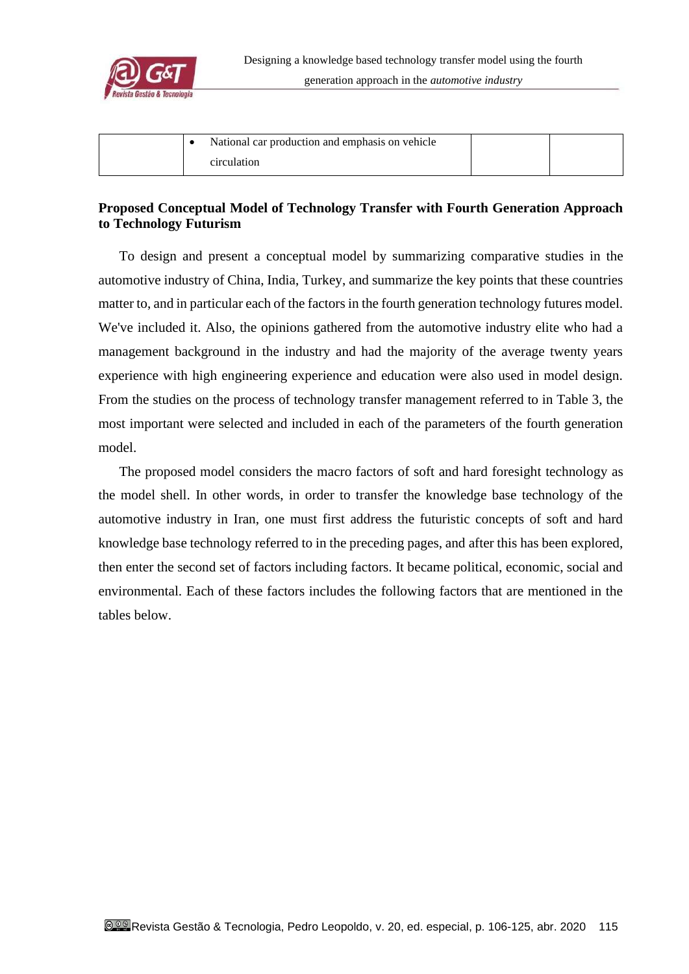

| National car production and emphasis on vehicle |  |
|-------------------------------------------------|--|
| circulation                                     |  |

# **Proposed Conceptual Model of Technology Transfer with Fourth Generation Approach to Technology Futurism**

To design and present a conceptual model by summarizing comparative studies in the automotive industry of China, India, Turkey, and summarize the key points that these countries matter to, and in particular each of the factors in the fourth generation technology futures model. We've included it. Also, the opinions gathered from the automotive industry elite who had a management background in the industry and had the majority of the average twenty years experience with high engineering experience and education were also used in model design. From the studies on the process of technology transfer management referred to in Table 3, the most important were selected and included in each of the parameters of the fourth generation model.

The proposed model considers the macro factors of soft and hard foresight technology as the model shell. In other words, in order to transfer the knowledge base technology of the automotive industry in Iran, one must first address the futuristic concepts of soft and hard knowledge base technology referred to in the preceding pages, and after this has been explored, then enter the second set of factors including factors. It became political, economic, social and environmental. Each of these factors includes the following factors that are mentioned in the tables below.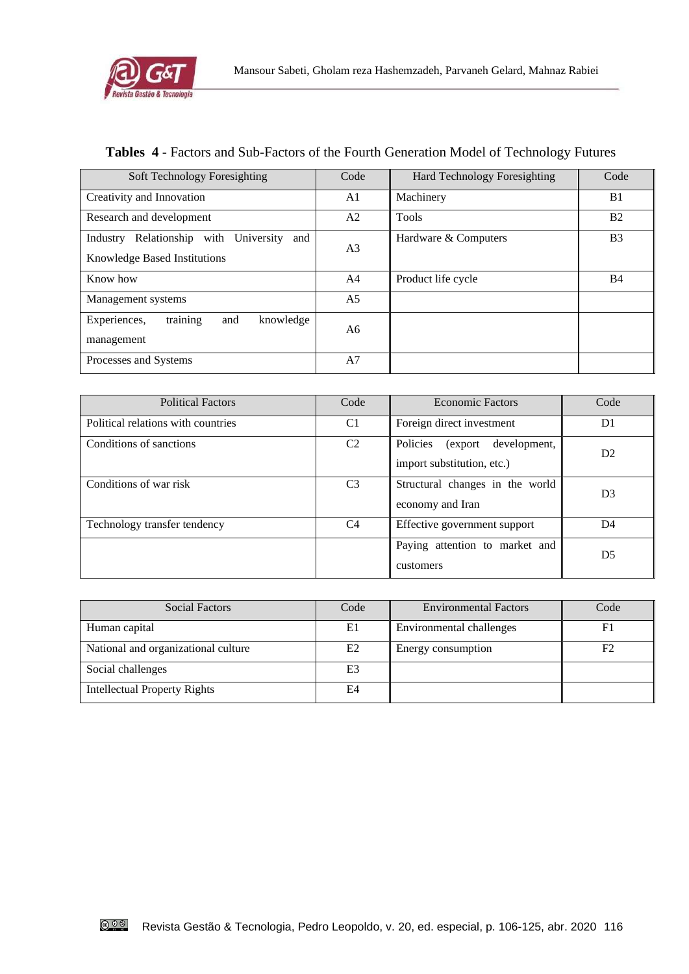

# **Tables 4** - Factors and Sub-Factors of the Fourth Generation Model of Technology Futures

| Soft Technology Foresighting                                                       | Code           | <b>Hard Technology Foresighting</b> | Code           |
|------------------------------------------------------------------------------------|----------------|-------------------------------------|----------------|
| Creativity and Innovation                                                          | A1             | Machinery                           | B1             |
| Research and development                                                           | A2             | <b>Tools</b>                        | B <sub>2</sub> |
| Relationship with<br>University<br>Industry<br>and<br>Knowledge Based Institutions | A <sub>3</sub> | Hardware & Computers                | B <sub>3</sub> |
| Know how                                                                           | A4             | Product life cycle                  | <b>B4</b>      |
| Management systems                                                                 | A <sub>5</sub> |                                     |                |
| training<br>Experiences,<br>and<br>knowledge<br>management                         | A6             |                                     |                |
| Processes and Systems                                                              | A7             |                                     |                |

| <b>Political Factors</b>           | Code                                        | <b>Economic Factors</b>                                           | Code           |
|------------------------------------|---------------------------------------------|-------------------------------------------------------------------|----------------|
| Political relations with countries | C <sub>1</sub><br>Foreign direct investment |                                                                   | D <sub>1</sub> |
| Conditions of sanctions            | C2                                          | Policies<br>development,<br>(export<br>import substitution, etc.) | D <sub>2</sub> |
| Conditions of war risk             | C <sub>3</sub>                              | Structural changes in the world<br>economy and Iran               | D <sub>3</sub> |
| Technology transfer tendency       | C4                                          | Effective government support                                      | D <sub>4</sub> |
|                                    |                                             | Paying attention to market and<br>customers                       | D <sub>5</sub> |

| Social Factors                      | Code           | <b>Environmental Factors</b> | Code           |
|-------------------------------------|----------------|------------------------------|----------------|
| Human capital                       | E1             | Environmental challenges     | F1             |
| National and organizational culture | E2             | Energy consumption           | F <sub>2</sub> |
| Social challenges                   | E <sub>3</sub> |                              |                |
| <b>Intellectual Property Rights</b> | E4             |                              |                |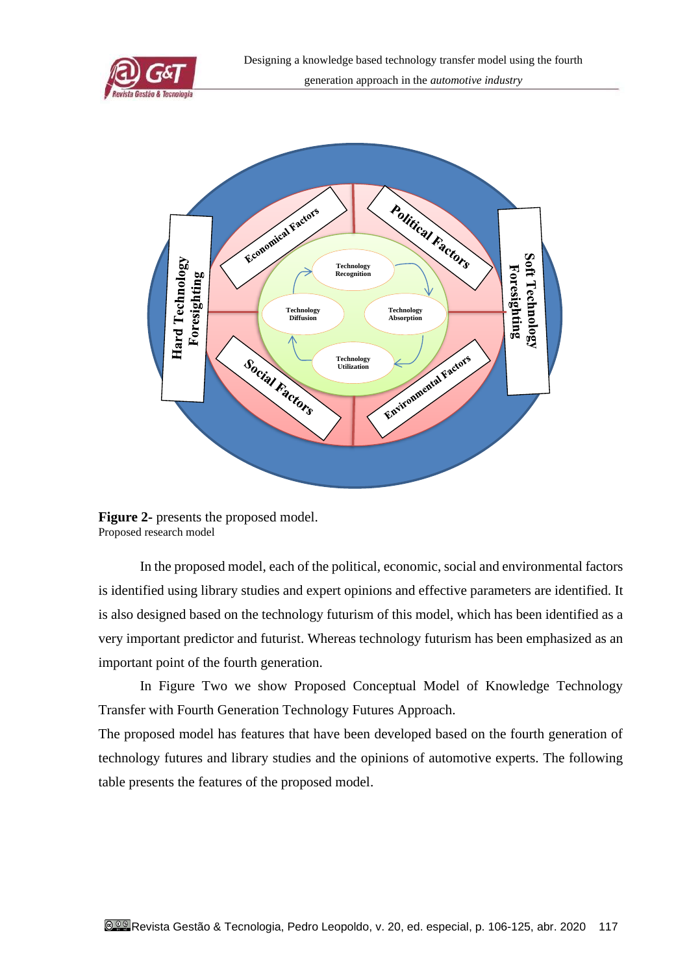



**Figure 2-** presents the proposed model. Proposed research model

In the proposed model, each of the political, economic, social and environmental factors is identified using library studies and expert opinions and effective parameters are identified. It is also designed based on the technology futurism of this model, which has been identified as a very important predictor and futurist. Whereas technology futurism has been emphasized as an important point of the fourth generation.

In Figure Two we show Proposed Conceptual Model of Knowledge Technology Transfer with Fourth Generation Technology Futures Approach.

The proposed model has features that have been developed based on the fourth generation of technology futures and library studies and the opinions of automotive experts. The following table presents the features of the proposed model.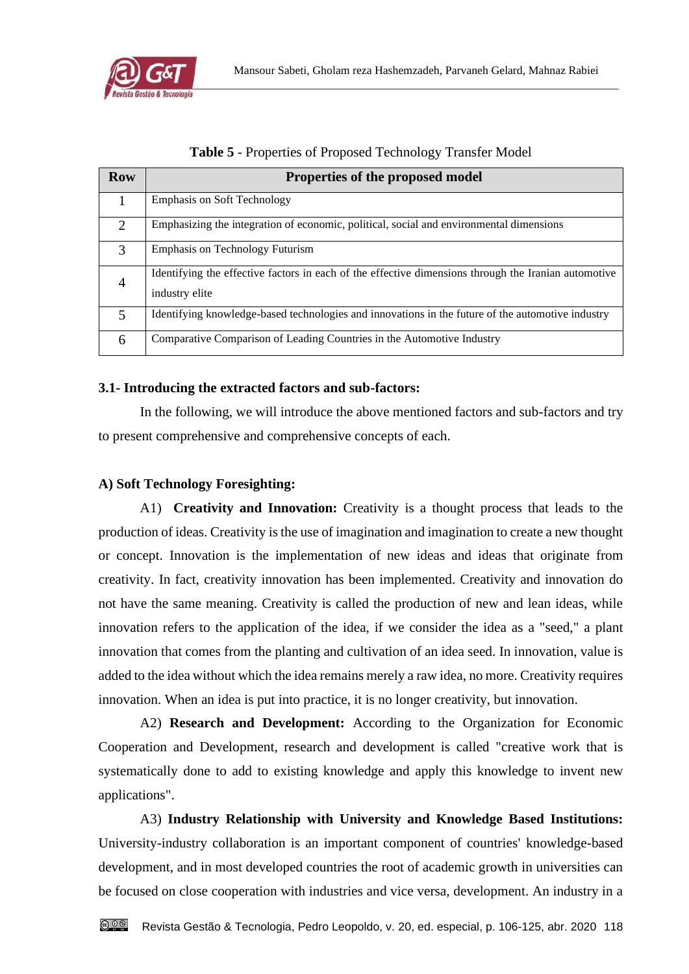

|  |  | <b>Table 5 - Properties of Proposed Technology Transfer Model</b> |  |
|--|--|-------------------------------------------------------------------|--|
|  |  |                                                                   |  |

| <b>Row</b>     | Properties of the proposed model                                                                                       |
|----------------|------------------------------------------------------------------------------------------------------------------------|
|                | <b>Emphasis on Soft Technology</b>                                                                                     |
| $\overline{2}$ | Emphasizing the integration of economic, political, social and environmental dimensions                                |
| 3              | <b>Emphasis on Technology Futurism</b>                                                                                 |
| $\overline{4}$ | Identifying the effective factors in each of the effective dimensions through the Iranian automotive<br>industry elite |
| 5              | Identifying knowledge-based technologies and innovations in the future of the automotive industry                      |
| 6              | Comparative Comparison of Leading Countries in the Automotive Industry                                                 |

#### **3.1- Introducing the extracted factors and sub-factors:**

In the following, we will introduce the above mentioned factors and sub-factors and try to present comprehensive and comprehensive concepts of each.

## **A) Soft Technology Foresighting:**

A1) **Creativity and Innovation:** Creativity is a thought process that leads to the production of ideas. Creativity is the use of imagination and imagination to create a new thought or concept. Innovation is the implementation of new ideas and ideas that originate from creativity. In fact, creativity innovation has been implemented. Creativity and innovation do not have the same meaning. Creativity is called the production of new and lean ideas, while innovation refers to the application of the idea, if we consider the idea as a "seed," a plant innovation that comes from the planting and cultivation of an idea seed. In innovation, value is added to the idea without which the idea remains merely a raw idea, no more. Creativity requires innovation. When an idea is put into practice, it is no longer creativity, but innovation.

A2) **Research and Development:** According to the Organization for Economic Cooperation and Development, research and development is called "creative work that is systematically done to add to existing knowledge and apply this knowledge to invent new applications".

A3) **Industry Relationship with University and Knowledge Based Institutions:** University-industry collaboration is an important component of countries' knowledge-based development, and in most developed countries the root of academic growth in universities can be focused on close cooperation with industries and vice versa, development. An industry in a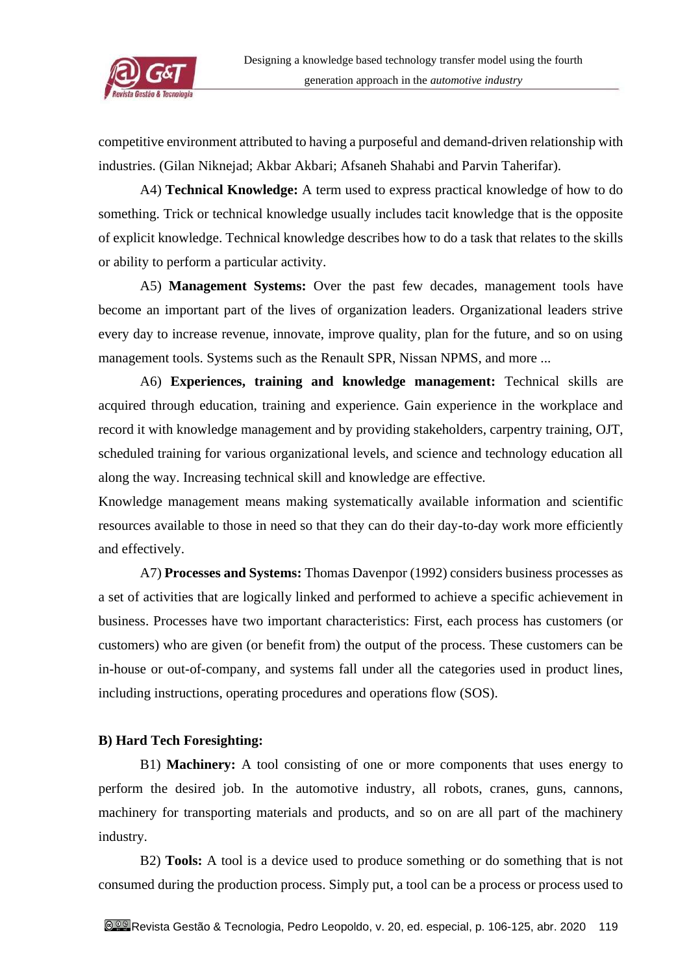

competitive environment attributed to having a purposeful and demand-driven relationship with industries. (Gilan Niknejad; Akbar Akbari; Afsaneh Shahabi and Parvin Taherifar).

A4) **Technical Knowledge:** A term used to express practical knowledge of how to do something. Trick or technical knowledge usually includes tacit knowledge that is the opposite of explicit knowledge. Technical knowledge describes how to do a task that relates to the skills or ability to perform a particular activity.

A5) **Management Systems:** Over the past few decades, management tools have become an important part of the lives of organization leaders. Organizational leaders strive every day to increase revenue, innovate, improve quality, plan for the future, and so on using management tools. Systems such as the Renault SPR, Nissan NPMS, and more ...

A6) **Experiences, training and knowledge management:** Technical skills are acquired through education, training and experience. Gain experience in the workplace and record it with knowledge management and by providing stakeholders, carpentry training, OJT, scheduled training for various organizational levels, and science and technology education all along the way. Increasing technical skill and knowledge are effective.

Knowledge management means making systematically available information and scientific resources available to those in need so that they can do their day-to-day work more efficiently and effectively.

A7) **Processes and Systems:** Thomas Davenpor (1992) considers business processes as a set of activities that are logically linked and performed to achieve a specific achievement in business. Processes have two important characteristics: First, each process has customers (or customers) who are given (or benefit from) the output of the process. These customers can be in-house or out-of-company, and systems fall under all the categories used in product lines, including instructions, operating procedures and operations flow (SOS).

# **B) Hard Tech Foresighting:**

B1) **Machinery:** A tool consisting of one or more components that uses energy to perform the desired job. In the automotive industry, all robots, cranes, guns, cannons, machinery for transporting materials and products, and so on are all part of the machinery industry.

B2) **Tools:** A tool is a device used to produce something or do something that is not consumed during the production process. Simply put, a tool can be a process or process used to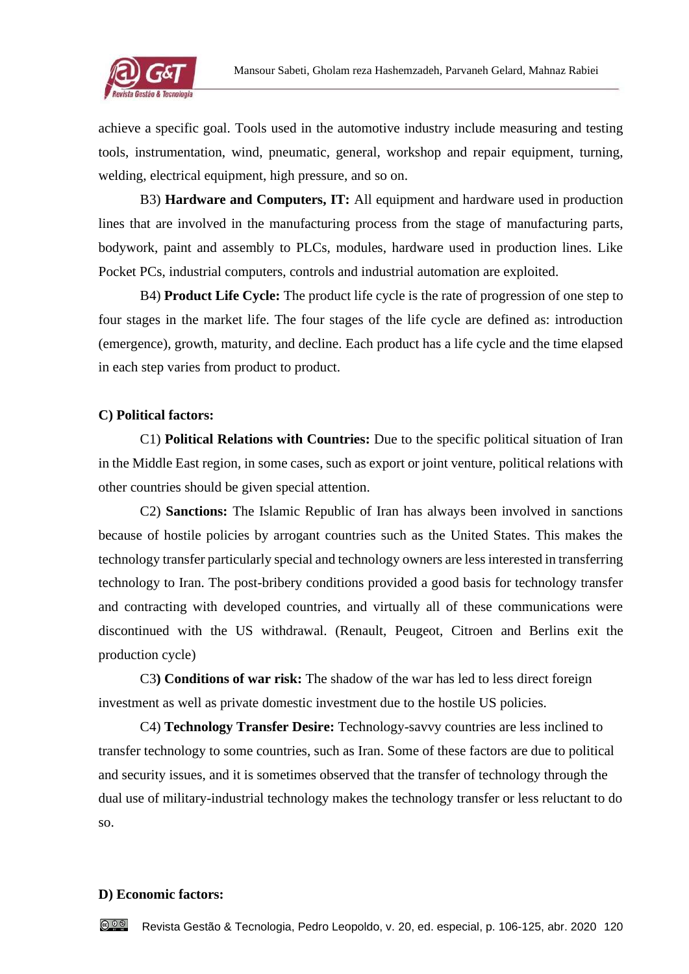

achieve a specific goal. Tools used in the automotive industry include measuring and testing tools, instrumentation, wind, pneumatic, general, workshop and repair equipment, turning, welding, electrical equipment, high pressure, and so on.

B3) **Hardware and Computers, IT:** All equipment and hardware used in production lines that are involved in the manufacturing process from the stage of manufacturing parts, bodywork, paint and assembly to PLCs, modules, hardware used in production lines. Like Pocket PCs, industrial computers, controls and industrial automation are exploited.

B4) **Product Life Cycle:** The product life cycle is the rate of progression of one step to four stages in the market life. The four stages of the life cycle are defined as: introduction (emergence), growth, maturity, and decline. Each product has a life cycle and the time elapsed in each step varies from product to product.

# **C) Political factors:**

C1) **Political Relations with Countries:** Due to the specific political situation of Iran in the Middle East region, in some cases, such as export or joint venture, political relations with other countries should be given special attention.

C2) **Sanctions:** The Islamic Republic of Iran has always been involved in sanctions because of hostile policies by arrogant countries such as the United States. This makes the technology transfer particularly special and technology owners are less interested in transferring technology to Iran. The post-bribery conditions provided a good basis for technology transfer and contracting with developed countries, and virtually all of these communications were discontinued with the US withdrawal. (Renault, Peugeot, Citroen and Berlins exit the production cycle)

C3**) Conditions of war risk:** The shadow of the war has led to less direct foreign investment as well as private domestic investment due to the hostile US policies.

C4) **Technology Transfer Desire:** Technology-savvy countries are less inclined to transfer technology to some countries, such as Iran. Some of these factors are due to political and security issues, and it is sometimes observed that the transfer of technology through the dual use of military-industrial technology makes the technology transfer or less reluctant to do so.

#### **D) Economic factors:**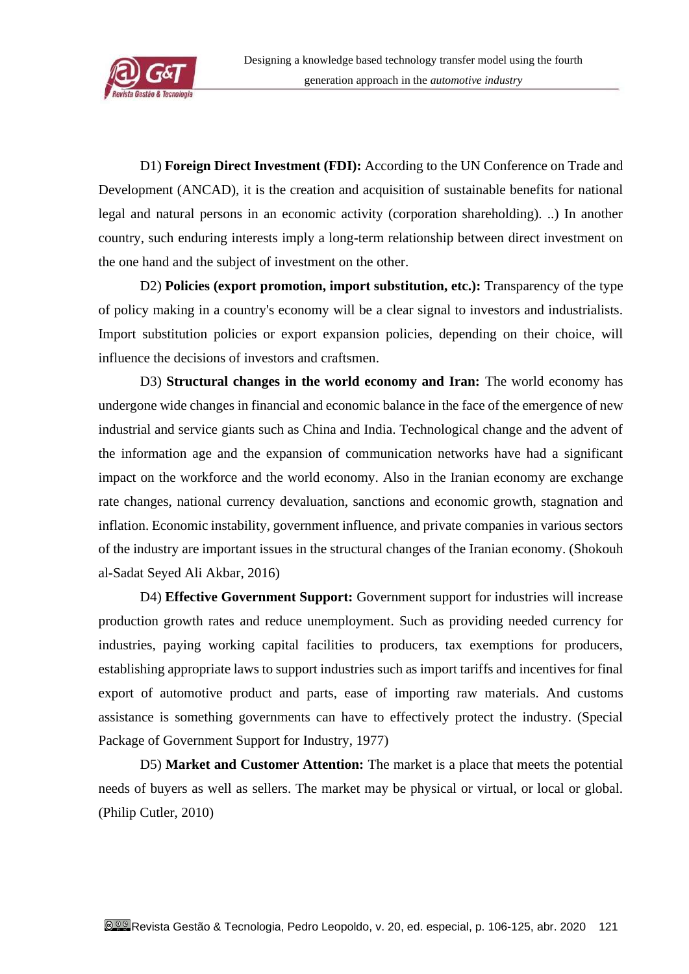

D1) **Foreign Direct Investment (FDI):** According to the UN Conference on Trade and Development (ANCAD), it is the creation and acquisition of sustainable benefits for national legal and natural persons in an economic activity (corporation shareholding). ..) In another country, such enduring interests imply a long-term relationship between direct investment on the one hand and the subject of investment on the other.

D2) **Policies (export promotion, import substitution, etc.):** Transparency of the type of policy making in a country's economy will be a clear signal to investors and industrialists. Import substitution policies or export expansion policies, depending on their choice, will influence the decisions of investors and craftsmen.

D3) **Structural changes in the world economy and Iran:** The world economy has undergone wide changes in financial and economic balance in the face of the emergence of new industrial and service giants such as China and India. Technological change and the advent of the information age and the expansion of communication networks have had a significant impact on the workforce and the world economy. Also in the Iranian economy are exchange rate changes, national currency devaluation, sanctions and economic growth, stagnation and inflation. Economic instability, government influence, and private companies in various sectors of the industry are important issues in the structural changes of the Iranian economy. (Shokouh al-Sadat Seyed Ali Akbar, 2016)

D4) **Effective Government Support:** Government support for industries will increase production growth rates and reduce unemployment. Such as providing needed currency for industries, paying working capital facilities to producers, tax exemptions for producers, establishing appropriate laws to support industries such as import tariffs and incentives for final export of automotive product and parts, ease of importing raw materials. And customs assistance is something governments can have to effectively protect the industry. (Special Package of Government Support for Industry, 1977)

D5) **Market and Customer Attention:** The market is a place that meets the potential needs of buyers as well as sellers. The market may be physical or virtual, or local or global. (Philip Cutler, 2010)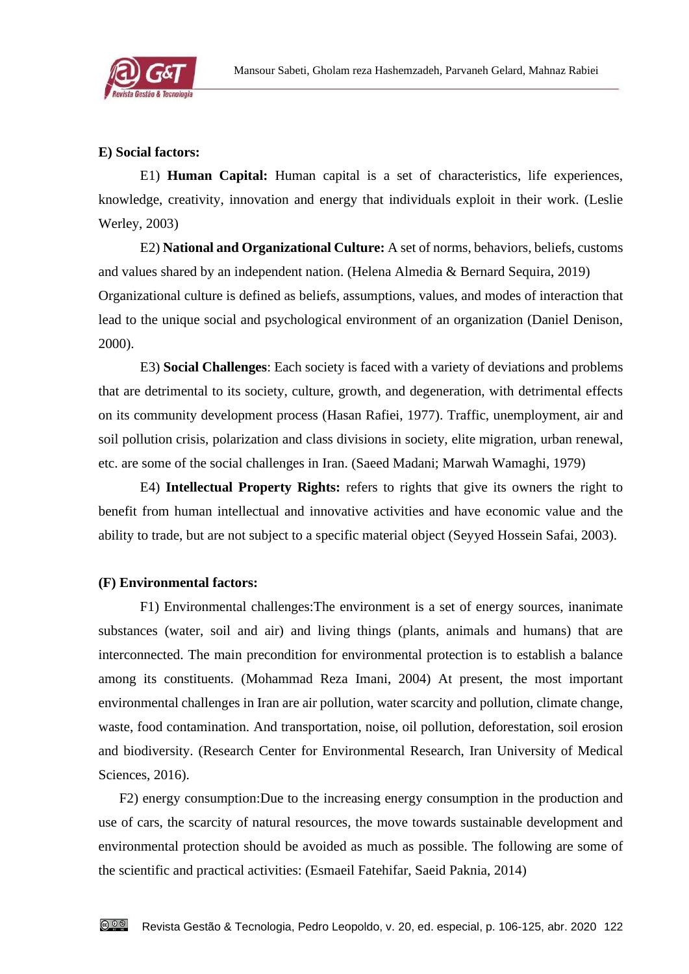

## **E) Social factors:**

E1) **Human Capital:** Human capital is a set of characteristics, life experiences, knowledge, creativity, innovation and energy that individuals exploit in their work. (Leslie Werley, 2003)

E2) **National and Organizational Culture:** A set of norms, behaviors, beliefs, customs and values shared by an independent nation. (Helena Almedia & Bernard Sequira, 2019) Organizational culture is defined as beliefs, assumptions, values, and modes of interaction that lead to the unique social and psychological environment of an organization (Daniel Denison, 2000).

E3) **Social Challenges**: Each society is faced with a variety of deviations and problems that are detrimental to its society, culture, growth, and degeneration, with detrimental effects on its community development process (Hasan Rafiei, 1977). Traffic, unemployment, air and soil pollution crisis, polarization and class divisions in society, elite migration, urban renewal, etc. are some of the social challenges in Iran. (Saeed Madani; Marwah Wamaghi, 1979)

E4) **Intellectual Property Rights:** refers to rights that give its owners the right to benefit from human intellectual and innovative activities and have economic value and the ability to trade, but are not subject to a specific material object (Seyyed Hossein Safai, 2003).

#### **(F) Environmental factors:**

F1) Environmental challenges:The environment is a set of energy sources, inanimate substances (water, soil and air) and living things (plants, animals and humans) that are interconnected. The main precondition for environmental protection is to establish a balance among its constituents. (Mohammad Reza Imani, 2004) At present, the most important environmental challenges in Iran are air pollution, water scarcity and pollution, climate change, waste, food contamination. And transportation, noise, oil pollution, deforestation, soil erosion and biodiversity. (Research Center for Environmental Research, Iran University of Medical Sciences, 2016).

F2) energy consumption:Due to the increasing energy consumption in the production and use of cars, the scarcity of natural resources, the move towards sustainable development and environmental protection should be avoided as much as possible. The following are some of the scientific and practical activities: (Esmaeil Fatehifar, Saeid Paknia, 2014)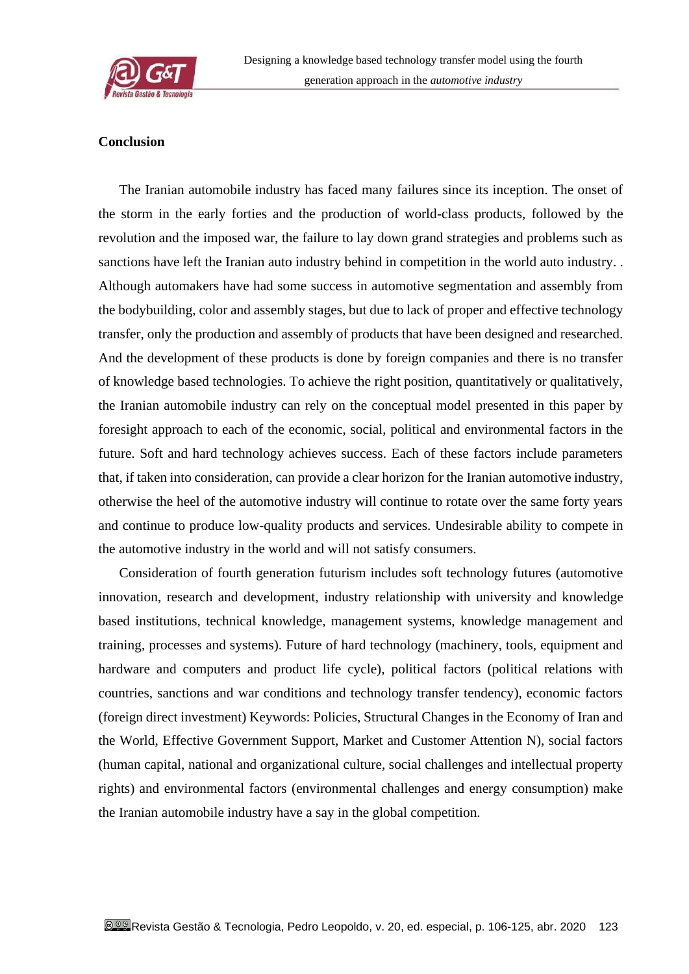

#### **Conclusion**

The Iranian automobile industry has faced many failures since its inception. The onset of the storm in the early forties and the production of world-class products, followed by the revolution and the imposed war, the failure to lay down grand strategies and problems such as sanctions have left the Iranian auto industry behind in competition in the world auto industry. . Although automakers have had some success in automotive segmentation and assembly from the bodybuilding, color and assembly stages, but due to lack of proper and effective technology transfer, only the production and assembly of products that have been designed and researched. And the development of these products is done by foreign companies and there is no transfer of knowledge based technologies. To achieve the right position, quantitatively or qualitatively, the Iranian automobile industry can rely on the conceptual model presented in this paper by foresight approach to each of the economic, social, political and environmental factors in the future. Soft and hard technology achieves success. Each of these factors include parameters that, if taken into consideration, can provide a clear horizon for the Iranian automotive industry, otherwise the heel of the automotive industry will continue to rotate over the same forty years and continue to produce low-quality products and services. Undesirable ability to compete in the automotive industry in the world and will not satisfy consumers.

Consideration of fourth generation futurism includes soft technology futures (automotive innovation, research and development, industry relationship with university and knowledge based institutions, technical knowledge, management systems, knowledge management and training, processes and systems). Future of hard technology (machinery, tools, equipment and hardware and computers and product life cycle), political factors (political relations with countries, sanctions and war conditions and technology transfer tendency), economic factors (foreign direct investment) Keywords: Policies, Structural Changes in the Economy of Iran and the World, Effective Government Support, Market and Customer Attention N), social factors (human capital, national and organizational culture, social challenges and intellectual property rights) and environmental factors (environmental challenges and energy consumption) make the Iranian automobile industry have a say in the global competition.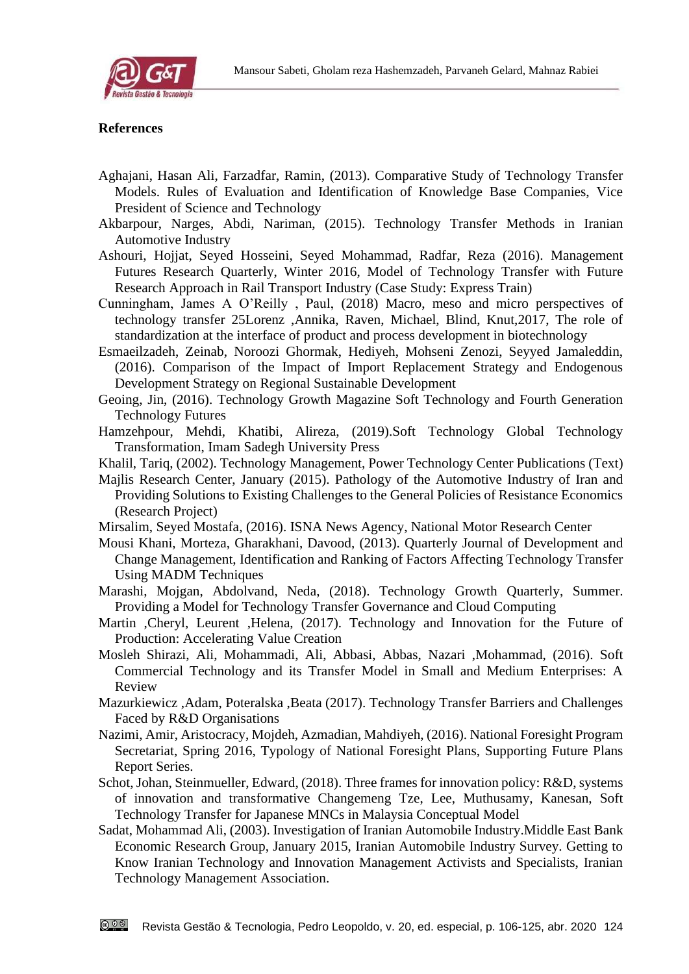

#### **References**

- Aghajani, Hasan Ali, Farzadfar, Ramin, (2013). Comparative Study of Technology Transfer Models. Rules of Evaluation and Identification of Knowledge Base Companies, Vice President of Science and Technology
- Akbarpour, Narges, Abdi, Nariman, (2015). Technology Transfer Methods in Iranian Automotive Industry
- Ashouri, Hojjat, Seyed Hosseini, Seyed Mohammad, Radfar, Reza (2016). Management Futures Research Quarterly, Winter 2016, Model of Technology Transfer with Future Research Approach in Rail Transport Industry (Case Study: Express Train)
- Cunningham, James A O'Reilly , Paul, (2018) Macro, meso and micro perspectives of technology transfer 25Lorenz ,Annika, Raven, Michael, Blind, Knut,2017, The role of standardization at the interface of product and process development in biotechnology
- Esmaeilzadeh, Zeinab, Noroozi Ghormak, Hediyeh, Mohseni Zenozi, Seyyed Jamaleddin, (2016). Comparison of the Impact of Import Replacement Strategy and Endogenous Development Strategy on Regional Sustainable Development
- Geoing, Jin, (2016). Technology Growth Magazine Soft Technology and Fourth Generation Technology Futures
- Hamzehpour, Mehdi, Khatibi, Alireza, (2019).Soft Technology Global Technology Transformation, Imam Sadegh University Press
- Khalil, Tariq, (2002). Technology Management, Power Technology Center Publications (Text)
- Majlis Research Center, January (2015). Pathology of the Automotive Industry of Iran and Providing Solutions to Existing Challenges to the General Policies of Resistance Economics (Research Project)
- Mirsalim, Seyed Mostafa, (2016). ISNA News Agency, National Motor Research Center
- Mousi Khani, Morteza, Gharakhani, Davood, (2013). Quarterly Journal of Development and Change Management, Identification and Ranking of Factors Affecting Technology Transfer Using MADM Techniques
- Marashi, Mojgan, Abdolvand, Neda, (2018). Technology Growth Quarterly, Summer. Providing a Model for Technology Transfer Governance and Cloud Computing
- Martin ,Cheryl, Leurent ,Helena, (2017). Technology and Innovation for the Future of Production: Accelerating Value Creation
- Mosleh Shirazi, Ali, Mohammadi, Ali, Abbasi, Abbas, Nazari ,Mohammad, (2016). Soft Commercial Technology and its Transfer Model in Small and Medium Enterprises: A Review
- Mazurkiewicz ,Adam, Poteralska ,Beata (2017). Technology Transfer Barriers and Challenges Faced by R&D Organisations
- Nazimi, Amir, Aristocracy, Mojdeh, Azmadian, Mahdiyeh, (2016). National Foresight Program Secretariat, Spring 2016, Typology of National Foresight Plans, Supporting Future Plans Report Series.
- Schot, Johan, Steinmueller, Edward, (2018). Three frames for innovation policy: R&D, systems of innovation and transformative Changemeng Tze, Lee, Muthusamy, Kanesan, Soft Technology Transfer for Japanese MNCs in Malaysia Conceptual Model
- Sadat, Mohammad Ali, (2003). Investigation of Iranian Automobile Industry.Middle East Bank Economic Research Group, January 2015, Iranian Automobile Industry Survey. Getting to Know Iranian Technology and Innovation Management Activists and Specialists, Iranian Technology Management Association.